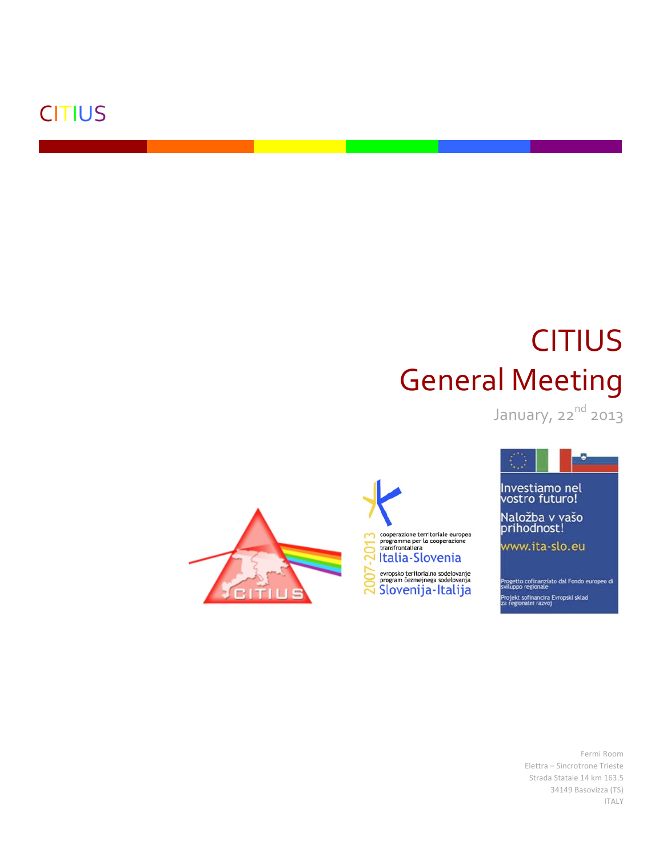### **CITIUS**

# **CITIUS General Meeting**

January, 22nd 2013







Progetto cofinanziato dal Fondo europeo di<br>sviluppo regionale rojekt sofinancira Evropski sklad<br>1 regionalni razvoj

> Fermi Room Elettra - Sincrotrone Trieste Strada Statale 14 km 163.5 34149 Basovizza (TS) **ITALY**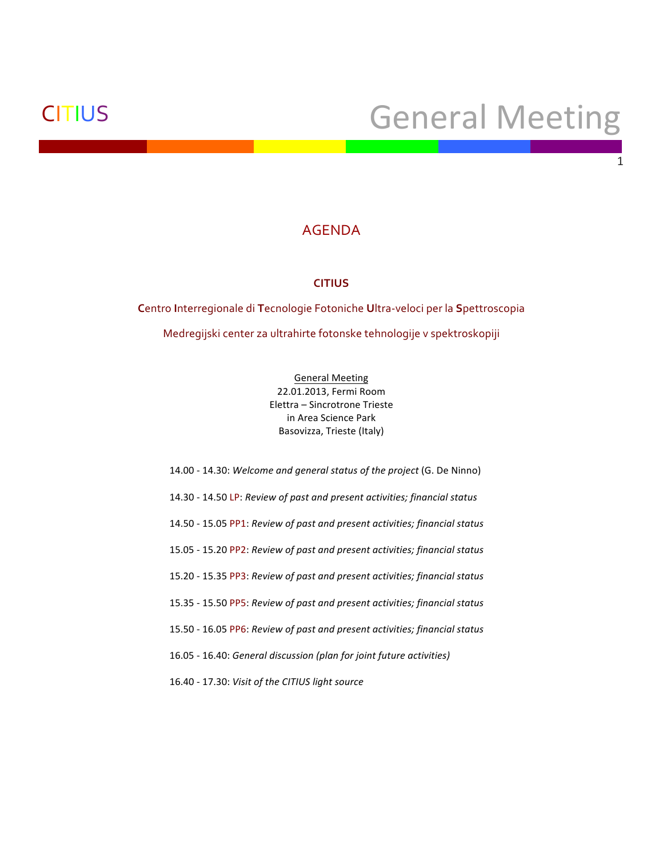### CITIUS General Meeting

1

### AGENDA

### **CITIUS**

**C**entro&**I**nterregionale&di&**T**ecnologie&Fotoniche&**U**ltraBveloci&per&la&**S**pettroscopia Medregijski center za ultrahirte fotonske tehnologije v spektroskopiji

> General Meeting 22.01.2013, Fermi Room Elettra – Sincrotrone Trieste in Area Science Park Basovizza, Trieste (Italy)

14.00 - 14.30: *Welcome and general status of the project* (G. De Ninno) 14.30!M 14.50!LP: *Review'of'past'and'present'activities;'financial'status'* 14.50!M 15.05!PP1:!*Review'of'past'and present'activities; financial'status* 15.05!M 15.20 PP2: *Review'of'past'and present'activities; financial'status* 15.20!M 15.35 PP3: *Review'of'past'and present'activities; financial'status* 15.35!M 15.50 PP5: *Review'of'past'and present activities; financial'status* 15.50!M 16.05 PP6: *Review'of'past'and present'activities; financial'status* 16.05!M 16.40:!*General'discussion'(plan'for'joint'future'activities)* 16.40!M 17.30:!*Visit'of'the'CITIUS'light'source*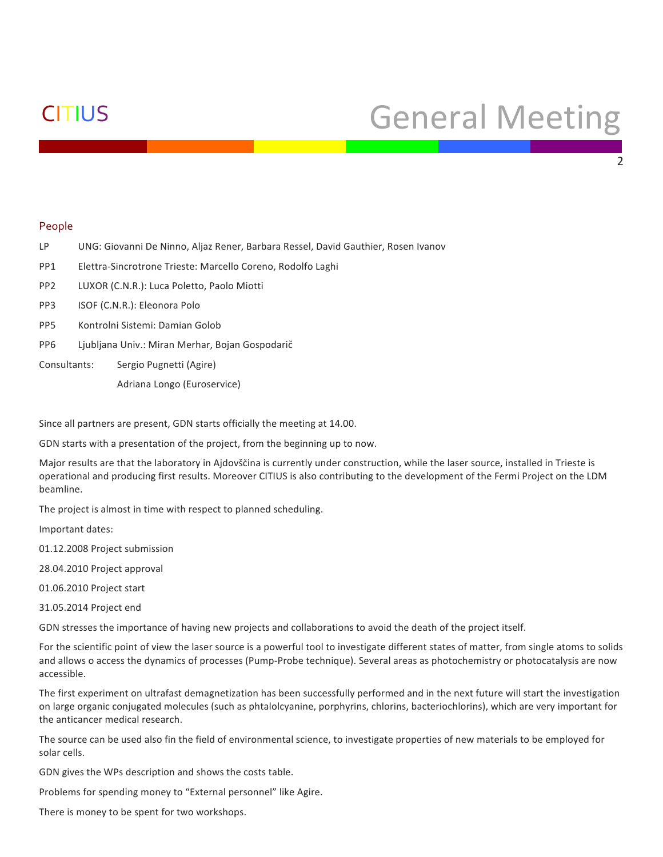## CITIUS General Meeting

 $\mathcal{L}$ 

#### People

- LP UNG: Giovanni De Ninno, Aljaz Rener, Barbara Ressel, David Gauthier, Rosen Ivanov
- PP1 Elettra-Sincrotrone Trieste: Marcello Coreno, Rodolfo Laghi
- PP2 LUXOR (C.N.R.): Luca Poletto, Paolo Miotti
- PP3 ISOF (C.N.R.): Eleonora Polo
- PP5 Kontrolni Sistemi: Damian Golob
- PP6 Ljubljana Univ.: Miran Merhar, Bojan Gospodarič
- Consultants: Sergio Pugnetti (Agire)
	- Adriana Longo (Euroservice)

Since all partners are present, GDN starts officially the meeting at 14.00.

GDN starts with a presentation of the project, from the beginning up to now.

Major results are that the laboratory in Ajdovščina is currently under construction, while the laser source, installed in Trieste is operational and producing first results. Moreover CITIUS is also contributing to the development of the Fermi Project on the LDM beamline.

The project is almost in time with respect to planned scheduling.

Important dates:

- 01.12.2008 Project submission
- 28.04.2010 Project approval

01.06.2010 Project start

31.05.2014 Project end

GDN stresses the importance of having new projects and collaborations to avoid the death of the project itself.

For the scientific point of view the laser source is a powerful tool to investigate different states of matter, from single atoms to solids and allows o access the dynamics of processes (Pump-Probe technique). Several areas as photochemistry or photocatalysis are now accessible.

The first experiment on ultrafast demagnetization has been successfully performed and in the next future will start the investigation on large organic conjugated molecules (such as phtalolcyanine, porphyrins, chlorins, bacteriochlorins), which are very important for the anticancer medical research.

The source can be used also fin the field of environmental science, to investigate properties of new materials to be employed for solar cells.

GDN gives the WPs description and shows the costs table.

Problems for spending money to "External personnel" like Agire.

There is money to be spent for two workshops.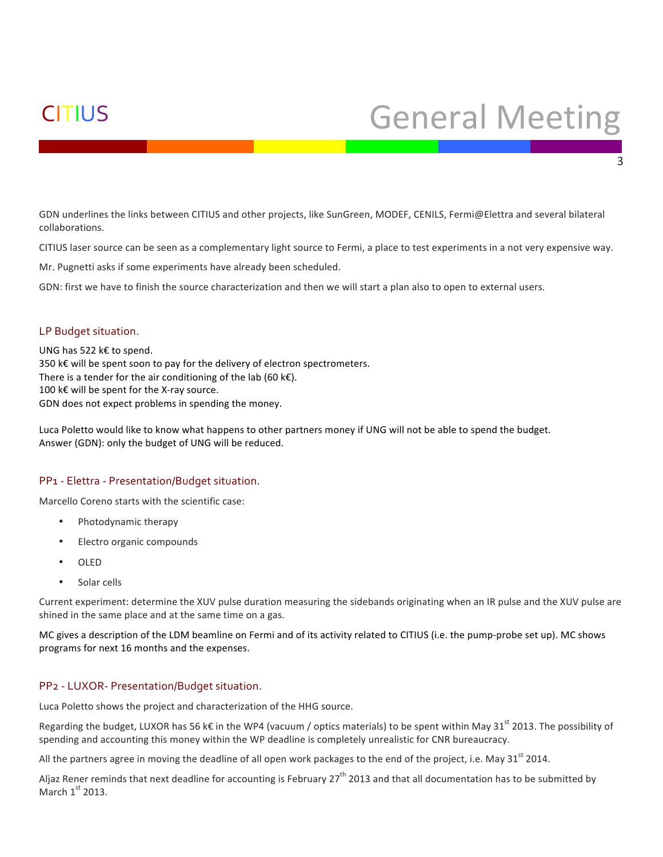## CITIUS General!Meeting

3

GDN underlines the links between CITIUS and other projects, like SunGreen, MODEF, CENILS, Fermi@Elettra and several bilateral collaborations.

CITIUS laser source can be seen as a complementary light source to Fermi, a place to test experiments in a not very expensive way.

Mr. Pugnetti asks if some experiments have already been scheduled.

GDN: first we have to finish the source characterization and then we will start a plan also to open to external users.

### LP Budget situation.

UNG has 522 k€ to spend. 350 k€ will be spent soon to pay for the delivery of electron spectrometers. There is a tender for the air conditioning of the lab (60  $k \in$ ). 100 k€ will be spent for the X-ray source. GDN does not expect problems in spending the money.

Luca Poletto would like to know what happens to other partners money if UNG will not be able to spend the budget. Answer (GDN): only the budget of UNG will be reduced.

### PP1 - Elettra - Presentation/Budget situation.

Marcello Coreno starts with the scientific case:

- Photodynamic therapy
- Electro organic compounds
- OLED
- Solar cells

Current experiment: determine the XUV pulse duration measuring the sidebands originating when an IR pulse and the XUV pulse are shined in the same place and at the same time on a gas.

MC gives a description of the LDM beamline on Fermi and of its activity related to CITIUS (i.e. the pump-probe set up). MC shows programs for next 16 months and the expenses.

### PP<sub>2</sub> - LUXOR- Presentation/Budget situation.

Luca Poletto shows the project and characterization of the HHG source.

Regarding the budget, LUXOR has 56 k€ in the WP4 (vacuum / optics materials) to be spent within May 31<sup>st</sup> 2013. The possibility of spending and accounting this money within the WP deadline is completely unrealistic for CNR bureaucracy.

All the partners agree in moving the deadline of all open work packages to the end of the project, i.e. May 31<sup>st</sup> 2014.

Aljaz Rener reminds that next deadline for accounting is February 27<sup>th</sup> 2013 and that all documentation has to be submitted by March  $1<sup>st</sup>$  2013.